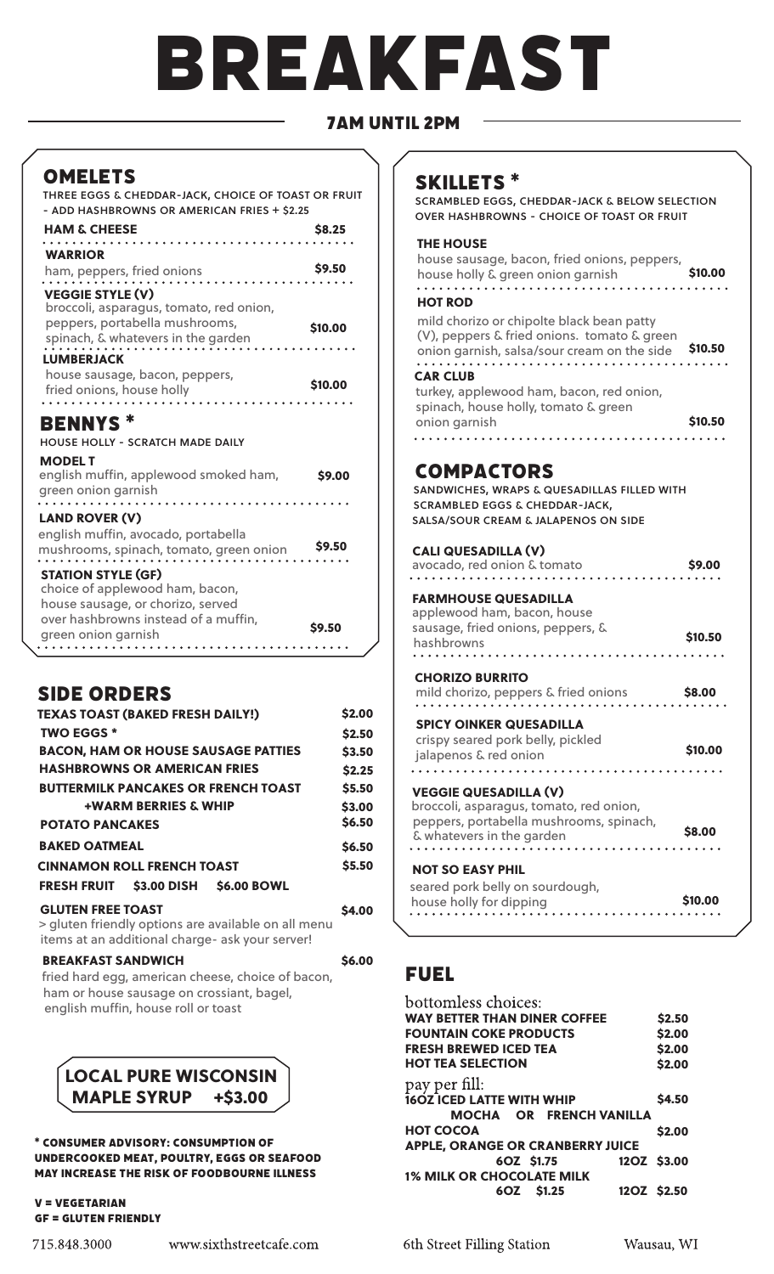# breAkfAst

# 7Am until 2pm

# **OMELETS**

three eggs & cheddar-jack, choice of toast or fruit - add hashbrowns or american fries + \$2.25

| ADD HASHUNG MINS ON AMENICAN HNIES TISELS                                                                                                  |              |
|--------------------------------------------------------------------------------------------------------------------------------------------|--------------|
| <b>HAM &amp; CHEESE</b>                                                                                                                    | <b>S8.25</b> |
| <b>WARRIOR</b><br>ham, peppers, fried onions                                                                                               | \$9.50       |
| <b>VEGGIE STYLE (V)</b><br>broccoli, asparagus, tomato, red onion,<br>peppers, portabella mushrooms,<br>spinach, & whatevers in the garden | \$10,00      |
| <b>LUMBERJACK</b><br>house sausage, bacon, peppers,<br>fried onions, house holly                                                           | \$10,00      |
| .                                                                                                                                          |              |

## bennys \* house holly - scratch made daily

| <b>MODEL T</b>                        |        |
|---------------------------------------|--------|
| english muffin, applewood smoked ham, | \$9.00 |
| green onion garnish                   |        |
| .                                     |        |

## LAND ROVER (V)

| english muffin, avocado, portabella     |        |
|-----------------------------------------|--------|
| mushrooms, spinach, tomato, green onion | \$9.50 |
|                                         |        |

## STATION STYLE (GF)

| choice of applewood ham, bacon,      |        |
|--------------------------------------|--------|
| house sausage, or chorizo, served    |        |
| over hashbrowns instead of a muffin, | \$9.50 |
| green onion garnish                  |        |
|                                      |        |

# **SIDE ORDERS**

| <b>TEXAS TOAST (BAKED FRESH DAILY!)</b>                                                   | \$2.00       |
|-------------------------------------------------------------------------------------------|--------------|
| <b>TWO EGGS *</b>                                                                         | \$2.50       |
| <b>BACON, HAM OR HOUSE SAUSAGE PATTIES</b>                                                | \$3.50       |
| <b>HASHBROWNS OR AMERICAN FRIES</b>                                                       | \$2.25       |
| <b>BUTTERMILK PANCAKES OR FRENCH TOAST</b>                                                | \$5.50       |
| <b>+WARM BERRIES &amp; WHIP</b>                                                           | \$3.00       |
| <b>POTATO PANCAKES</b>                                                                    | \$6.50       |
| <b>BAKED OATMEAL</b>                                                                      | \$6.50       |
| <b>CINNAMON ROLL FRENCH TOAST</b>                                                         | \$5.50       |
| FRESH FRUIT \$3.00 DISH \$6.00 BOWL                                                       |              |
| <b>GLUTEN FREE TOAST</b>                                                                  | <b>S4.00</b> |
| a control de la facta del constante del característic tener de la facta del característic |              |

> gluten friendly options are available on all menu items at an additional charge- ask your server!

| <b>BREAKFAST SANDWICH</b>                         | <b>\$6.00</b> |
|---------------------------------------------------|---------------|
| fried hard egg, american cheese, choice of bacon, |               |
| ham or house sausage on crossiant, bagel,         |               |
| english muffin, house roll or toast               |               |



## \* Consumer Advisory: Consumption of underCooked meAt, poultry, eggs or seAfood may inCreAse the risk of foodbourne illness

## v = vegetAriAn gf = gluten friendly

# skillets \*

scrambled eggs, cheddar-jack & below selection over hashbrowns - choice of toast or fruit

# THE HOUSE

house sausage, bacon, fried onions, peppers, house holly & green onion garnish **\$10.00** 

## HOT ROD

| mild chorizo or chipolte black bean patty<br>(V), peppers & fried onions. tomato & green<br>onion garnish, salsa/sour cream on the side<br><b>CAR CLUB</b> | \$10.50 |
|------------------------------------------------------------------------------------------------------------------------------------------------------------|---------|
|------------------------------------------------------------------------------------------------------------------------------------------------------------|---------|

turkey, applewood ham, bacon, red onion, spinach, house holly, tomato & green \$10.50 onion garnish 

# **COMPACTORS**

sandwiches, wraps & quesadillas filled with scrambled eggs & cheddar-jack, salsa/sour cream & jalapenos on side

# CALI QUESADILLA (V)

| avocado, red onion & tomato                                                                                                                                   | \$9.00  |
|---------------------------------------------------------------------------------------------------------------------------------------------------------------|---------|
| <b>FARMHOUSE QUESADILLA</b><br>applewood ham, bacon, house<br>sausage, fried onions, peppers, &<br>hashbrowns                                                 | \$10.50 |
| <b>CHORIZO BURRITO</b><br>mild chorizo, peppers & fried onions                                                                                                | \$8.00  |
| <b>SPICY OINKER QUESADILLA</b><br>crispy seared pork belly, pickled<br>jalapenos & red onion                                                                  | \$10.00 |
| <b>VEGGIE QUESADILLA (V)</b><br>broccoli, asparagus, tomato, red onion,<br>peppers, portabella mushrooms, spinach,<br>& whatevers in the garden<br>. <b>.</b> | \$8.00  |
| <b>NOT SO EASY PHIL</b><br>seared pork belly on sourdough,<br>house holly for dipping                                                                         | \$10.00 |

# fuel

| bottomless choices:                     |        |
|-----------------------------------------|--------|
| <b>WAY BETTER THAN DINER COFFEE</b>     | \$2.50 |
| <b>FOUNTAIN COKE PRODUCTS</b>           | \$2.00 |
| <b>FRESH BREWED ICED TEA</b>            | \$2.00 |
| <b>HOT TEA SELECTION</b>                | \$2.00 |
| pay per fill:                           |        |
| <b>16OZ ICED LATTE WITH WHIP</b>        | \$4.50 |
| <b>MOCHA OR FRENCH VANILLA</b>          |        |
| <b>HOT COCOA</b>                        | \$2.00 |
| <b>APPLE, ORANGE OR CRANBERRY JUICE</b> |        |
| 6OZ \$1.75<br>12OZ \$3.00               |        |
| <b>1% MILK OR CHOCOLATE MILK</b>        |        |
| 12OZ \$2.50<br>6OZ \$1.25               |        |